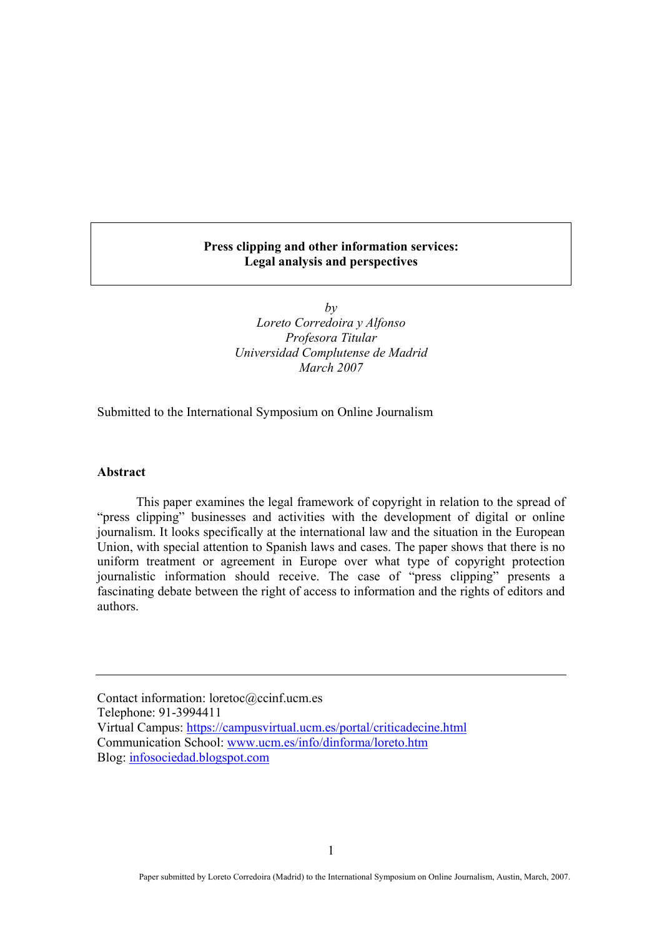## **Press clipping and other information services: Legal analysis and perspectives**

 $b\nu$ *Loreto Corredoira y Alfonso Profesora Titular Universidad Complutense de Madrid March 2007* 

Submitted to the International Symposium on Online Journalism

#### **Abstract**

This paper examines the legal framework of copyright in relation to the spread of "press clipping" businesses and activities with the development of digital or online journalism. It looks specifically at the international law and the situation in the European Union, with special attention to Spanish laws and cases. The paper shows that there is no uniform treatment or agreement in Europe over what type of copyright protection journalistic information should receive. The case of "press clipping" presents a fascinating debate between the right of access to information and the rights of editors and authors.

Contact information: loretoc@ccinf.ucm.es Telephone: 91-3994411 Virtual Campus: https://campusvirtual.ucm.es/portal/criticadecine.html Communication School: www.ucm.es/info/dinforma/loreto.htm Blog: infosociedad.blogspot.com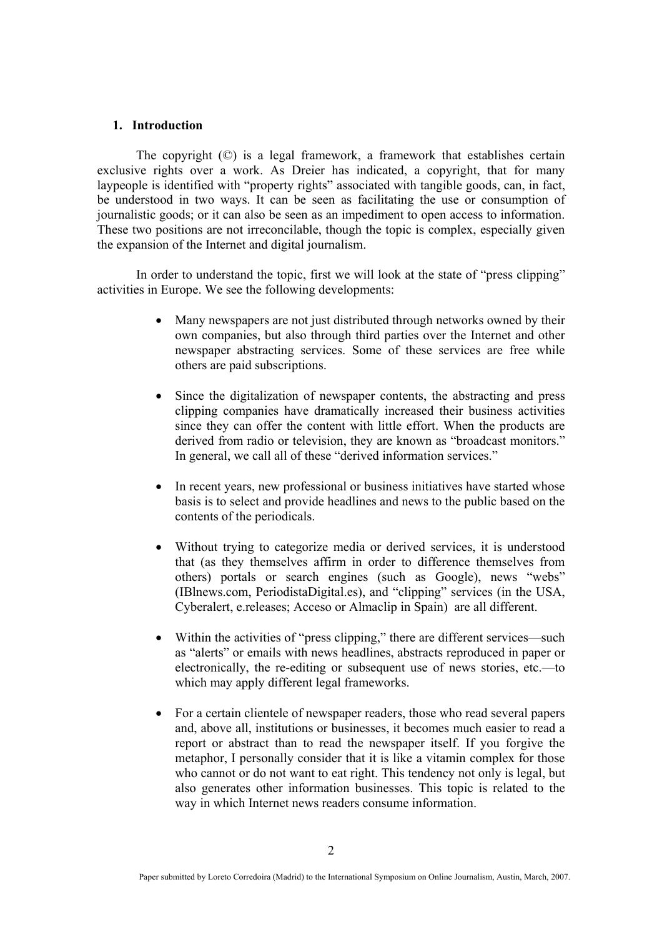#### **1. Introduction**

The copyright (©) is a legal framework, a framework that establishes certain exclusive rights over a work. As Dreier has indicated, a copyright, that for many laypeople is identified with "property rights" associated with tangible goods, can, in fact, be understood in two ways. It can be seen as facilitating the use or consumption of journalistic goods; or it can also be seen as an impediment to open access to information. These two positions are not irreconcilable, though the topic is complex, especially given the expansion of the Internet and digital journalism.

In order to understand the topic, first we will look at the state of "press clipping" activities in Europe. We see the following developments:

- Many newspapers are not just distributed through networks owned by their own companies, but also through third parties over the Internet and other newspaper abstracting services. Some of these services are free while others are paid subscriptions.
- Since the digitalization of newspaper contents, the abstracting and press clipping companies have dramatically increased their business activities since they can offer the content with little effort. When the products are derived from radio or television, they are known as "broadcast monitors." In general, we call all of these "derived information services."
- In recent years, new professional or business initiatives have started whose basis is to select and provide headlines and news to the public based on the contents of the periodicals.
- Without trying to categorize media or derived services, it is understood that (as they themselves affirm in order to difference themselves from others) portals or search engines (such as Google), news "webs" (IBlnews.com, PeriodistaDigital.es), and "clipping" services (in the USA, Cyberalert, e.releases; Acceso or Almaclip in Spain) are all different.
- Within the activities of "press clipping," there are different services—such as "alerts" or emails with news headlines, abstracts reproduced in paper or electronically, the re-editing or subsequent use of news stories, etc.—to which may apply different legal frameworks.
- For a certain clientele of newspaper readers, those who read several papers and, above all, institutions or businesses, it becomes much easier to read a report or abstract than to read the newspaper itself. If you forgive the metaphor, I personally consider that it is like a vitamin complex for those who cannot or do not want to eat right. This tendency not only is legal, but also generates other information businesses. This topic is related to the way in which Internet news readers consume information.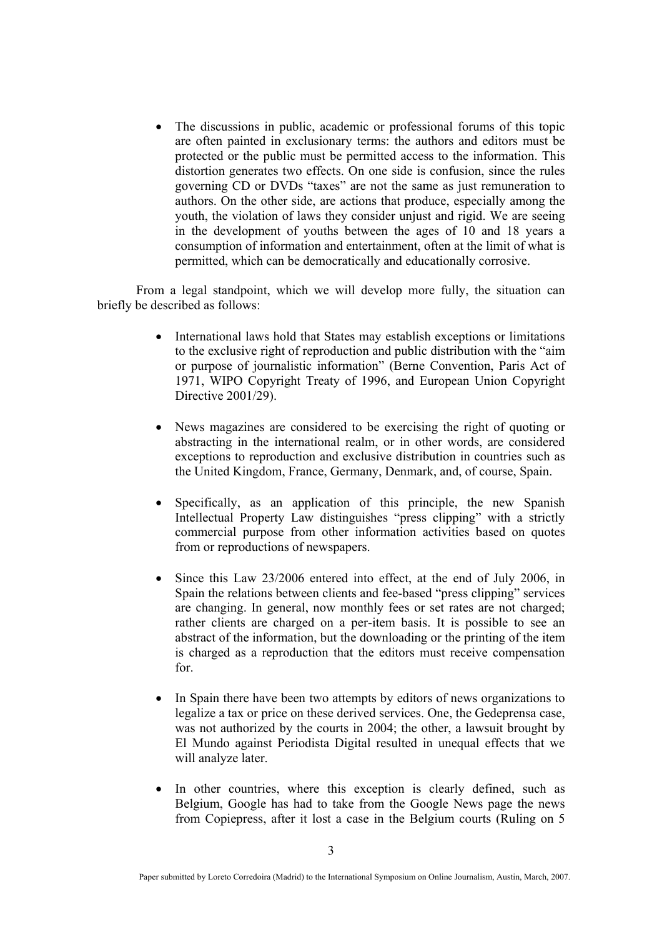• The discussions in public, academic or professional forums of this topic are often painted in exclusionary terms: the authors and editors must be protected or the public must be permitted access to the information. This distortion generates two effects. On one side is confusion, since the rules governing CD or DVDs "taxes" are not the same as just remuneration to authors. On the other side, are actions that produce, especially among the youth, the violation of laws they consider unjust and rigid. We are seeing in the development of youths between the ages of 10 and 18 years a consumption of information and entertainment, often at the limit of what is permitted, which can be democratically and educationally corrosive.

From a legal standpoint, which we will develop more fully, the situation can briefly be described as follows:

- International laws hold that States may establish exceptions or limitations to the exclusive right of reproduction and public distribution with the "aim or purpose of journalistic information" (Berne Convention, Paris Act of 1971, WIPO Copyright Treaty of 1996, and European Union Copyright Directive 2001/29).
- News magazines are considered to be exercising the right of quoting or abstracting in the international realm, or in other words, are considered exceptions to reproduction and exclusive distribution in countries such as the United Kingdom, France, Germany, Denmark, and, of course, Spain.
- Specifically, as an application of this principle, the new Spanish Intellectual Property Law distinguishes "press clipping" with a strictly commercial purpose from other information activities based on quotes from or reproductions of newspapers.
- Since this Law 23/2006 entered into effect, at the end of July 2006, in Spain the relations between clients and fee-based "press clipping" services are changing. In general, now monthly fees or set rates are not charged; rather clients are charged on a per-item basis. It is possible to see an abstract of the information, but the downloading or the printing of the item is charged as a reproduction that the editors must receive compensation for.
- In Spain there have been two attempts by editors of news organizations to legalize a tax or price on these derived services. One, the Gedeprensa case, was not authorized by the courts in 2004; the other, a lawsuit brought by El Mundo against Periodista Digital resulted in unequal effects that we will analyze later.
- In other countries, where this exception is clearly defined, such as Belgium, Google has had to take from the Google News page the news from Copiepress, after it lost a case in the Belgium courts (Ruling on 5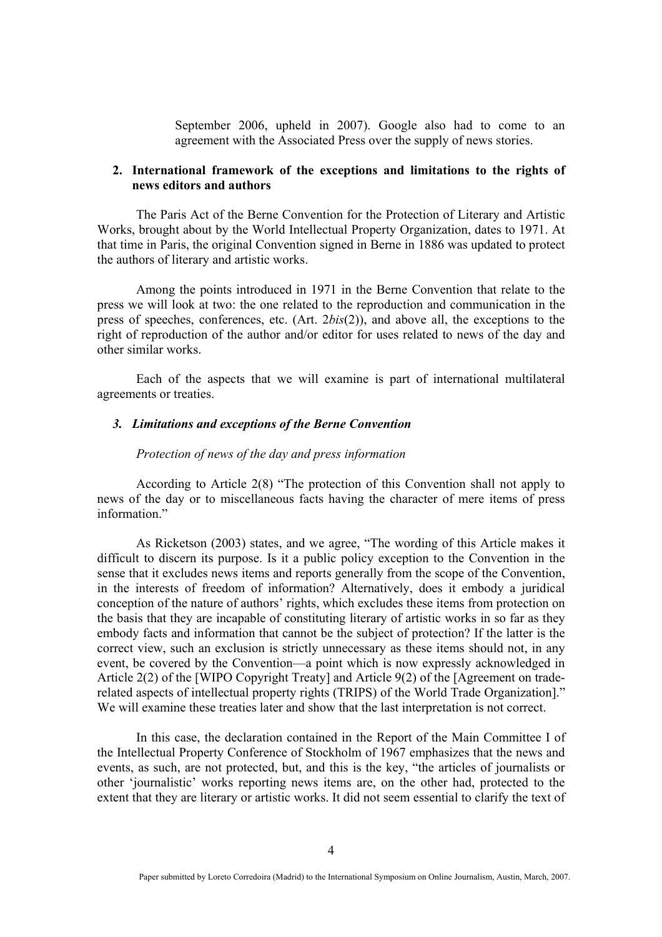September 2006, upheld in 2007). Google also had to come to an agreement with the Associated Press over the supply of news stories.

## **2. International framework of the exceptions and limitations to the rights of news editors and authors**

The Paris Act of the Berne Convention for the Protection of Literary and Artistic Works, brought about by the World Intellectual Property Organization, dates to 1971. At that time in Paris, the original Convention signed in Berne in 1886 was updated to protect the authors of literary and artistic works.

Among the points introduced in 1971 in the Berne Convention that relate to the press we will look at two: the one related to the reproduction and communication in the press of speeches, conferences, etc. (Art. 2*bis*(2)), and above all, the exceptions to the right of reproduction of the author and/or editor for uses related to news of the day and other similar works.

Each of the aspects that we will examine is part of international multilateral agreements or treaties.

## *3. Limitations and exceptions of the Berne Convention*

### *Protection of news of the day and press information*

According to Article 2(8) "The protection of this Convention shall not apply to news of the day or to miscellaneous facts having the character of mere items of press information."

As Ricketson (2003) states, and we agree, "The wording of this Article makes it difficult to discern its purpose. Is it a public policy exception to the Convention in the sense that it excludes news items and reports generally from the scope of the Convention, in the interests of freedom of information? Alternatively, does it embody a juridical conception of the nature of authors' rights, which excludes these items from protection on the basis that they are incapable of constituting literary of artistic works in so far as they embody facts and information that cannot be the subject of protection? If the latter is the correct view, such an exclusion is strictly unnecessary as these items should not, in any event, be covered by the Convention—a point which is now expressly acknowledged in Article 2(2) of the [WIPO Copyright Treaty] and Article 9(2) of the [Agreement on traderelated aspects of intellectual property rights (TRIPS) of the World Trade Organization]." We will examine these treaties later and show that the last interpretation is not correct.

In this case, the declaration contained in the Report of the Main Committee I of the Intellectual Property Conference of Stockholm of 1967 emphasizes that the news and events, as such, are not protected, but, and this is the key, "the articles of journalists or other 'journalistic' works reporting news items are, on the other had, protected to the extent that they are literary or artistic works. It did not seem essential to clarify the text of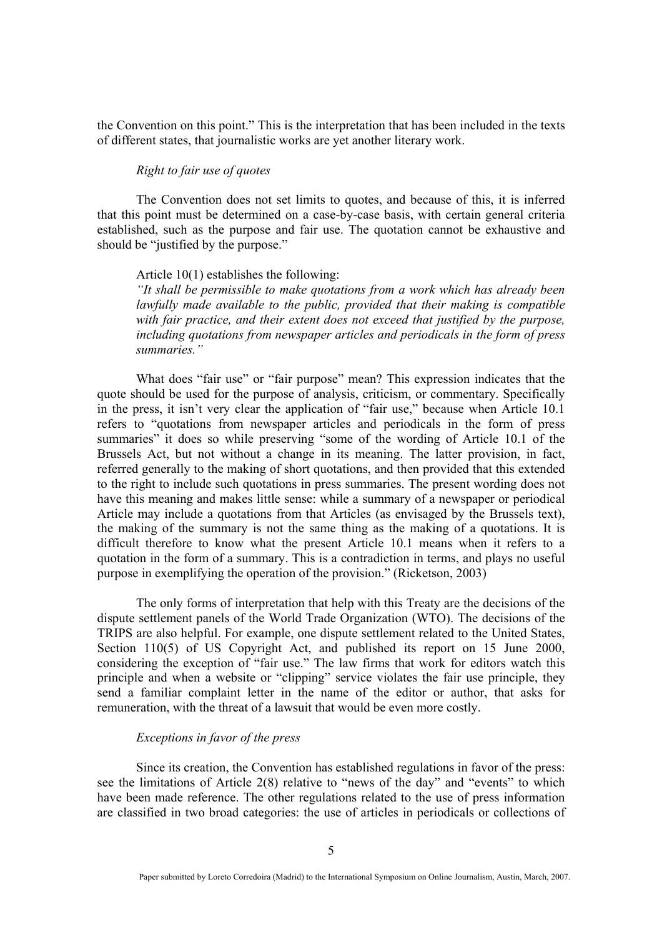the Convention on this point." This is the interpretation that has been included in the texts of different states, that journalistic works are yet another literary work.

## *Right to fair use of quotes*

The Convention does not set limits to quotes, and because of this, it is inferred that this point must be determined on a case-by-case basis, with certain general criteria established, such as the purpose and fair use. The quotation cannot be exhaustive and should be "justified by the purpose."

#### Article 10(1) establishes the following:

*"It shall be permissible to make quotations from a work which has already been lawfully made available to the public, provided that their making is compatible with fair practice, and their extent does not exceed that justified by the purpose, including quotations from newspaper articles and periodicals in the form of press summaries."* 

What does "fair use" or "fair purpose" mean? This expression indicates that the quote should be used for the purpose of analysis, criticism, or commentary. Specifically in the press, it isn't very clear the application of "fair use," because when Article 10.1 refers to "quotations from newspaper articles and periodicals in the form of press summaries" it does so while preserving "some of the wording of Article 10.1 of the Brussels Act, but not without a change in its meaning. The latter provision, in fact, referred generally to the making of short quotations, and then provided that this extended to the right to include such quotations in press summaries. The present wording does not have this meaning and makes little sense: while a summary of a newspaper or periodical Article may include a quotations from that Articles (as envisaged by the Brussels text), the making of the summary is not the same thing as the making of a quotations. It is difficult therefore to know what the present Article 10.1 means when it refers to a quotation in the form of a summary. This is a contradiction in terms, and plays no useful purpose in exemplifying the operation of the provision." (Ricketson, 2003)

The only forms of interpretation that help with this Treaty are the decisions of the dispute settlement panels of the World Trade Organization (WTO). The decisions of the TRIPS are also helpful. For example, one dispute settlement related to the United States, Section 110(5) of US Copyright Act, and published its report on 15 June 2000, considering the exception of "fair use." The law firms that work for editors watch this principle and when a website or "clipping" service violates the fair use principle, they send a familiar complaint letter in the name of the editor or author, that asks for remuneration, with the threat of a lawsuit that would be even more costly.

### *Exceptions in favor of the press*

Since its creation, the Convention has established regulations in favor of the press: see the limitations of Article 2(8) relative to "news of the day" and "events" to which have been made reference. The other regulations related to the use of press information are classified in two broad categories: the use of articles in periodicals or collections of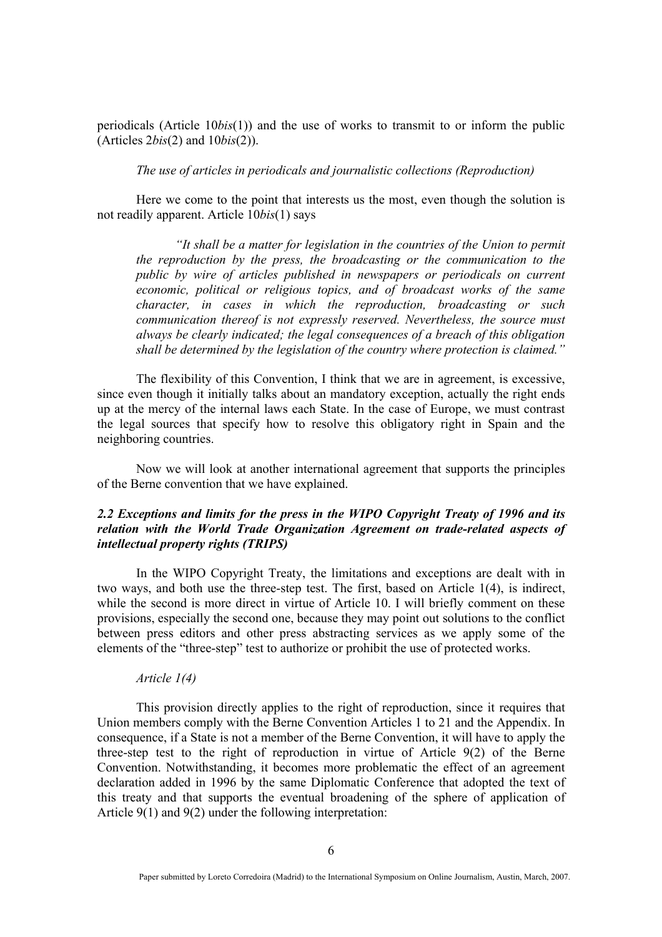periodicals (Article 10*bis*(1)) and the use of works to transmit to or inform the public (Articles 2*bis*(2) and 10*bis*(2)).

*The use of articles in periodicals and journalistic collections (Reproduction)* 

Here we come to the point that interests us the most, even though the solution is not readily apparent. Article 10*bis*(1) says

*"It shall be a matter for legislation in the countries of the Union to permit the reproduction by the press, the broadcasting or the communication to the public by wire of articles published in newspapers or periodicals on current economic, political or religious topics, and of broadcast works of the same character, in cases in which the reproduction, broadcasting or such communication thereof is not expressly reserved. Nevertheless, the source must always be clearly indicated; the legal consequences of a breach of this obligation shall be determined by the legislation of the country where protection is claimed."* 

The flexibility of this Convention, I think that we are in agreement, is excessive, since even though it initially talks about an mandatory exception, actually the right ends up at the mercy of the internal laws each State. In the case of Europe, we must contrast the legal sources that specify how to resolve this obligatory right in Spain and the neighboring countries.

Now we will look at another international agreement that supports the principles of the Berne convention that we have explained.

# *2.2 Exceptions and limits for the press in the WIPO Copyright Treaty of 1996 and its relation with the World Trade Organization Agreement on trade-related aspects of intellectual property rights (TRIPS)*

In the WIPO Copyright Treaty, the limitations and exceptions are dealt with in two ways, and both use the three-step test. The first, based on Article 1(4), is indirect, while the second is more direct in virtue of Article 10. I will briefly comment on these provisions, especially the second one, because they may point out solutions to the conflict between press editors and other press abstracting services as we apply some of the elements of the "three-step" test to authorize or prohibit the use of protected works.

# *Article 1(4)*

This provision directly applies to the right of reproduction, since it requires that Union members comply with the Berne Convention Articles 1 to 21 and the Appendix. In consequence, if a State is not a member of the Berne Convention, it will have to apply the three-step test to the right of reproduction in virtue of Article 9(2) of the Berne Convention. Notwithstanding, it becomes more problematic the effect of an agreement declaration added in 1996 by the same Diplomatic Conference that adopted the text of this treaty and that supports the eventual broadening of the sphere of application of Article 9(1) and 9(2) under the following interpretation: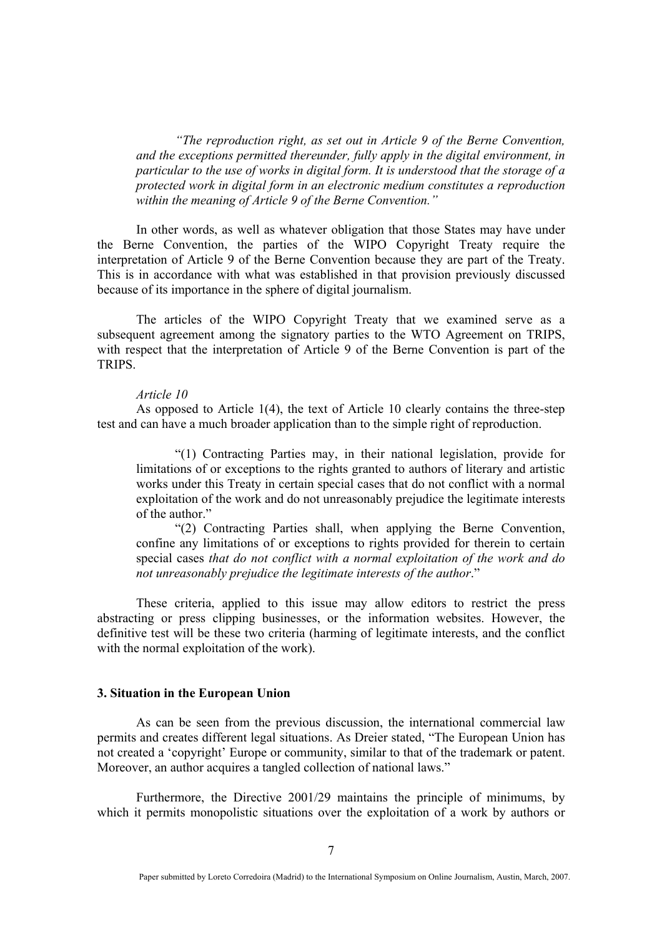*"The reproduction right, as set out in Article 9 of the Berne Convention, and the exceptions permitted thereunder, fully apply in the digital environment, in particular to the use of works in digital form. It is understood that the storage of a protected work in digital form in an electronic medium constitutes a reproduction within the meaning of Article 9 of the Berne Convention."* 

In other words, as well as whatever obligation that those States may have under the Berne Convention, the parties of the WIPO Copyright Treaty require the interpretation of Article 9 of the Berne Convention because they are part of the Treaty. This is in accordance with what was established in that provision previously discussed because of its importance in the sphere of digital journalism.

The articles of the WIPO Copyright Treaty that we examined serve as a subsequent agreement among the signatory parties to the WTO Agreement on TRIPS, with respect that the interpretation of Article 9 of the Berne Convention is part of the TRIPS.

#### *Article 10*

As opposed to Article 1(4), the text of Article 10 clearly contains the three-step test and can have a much broader application than to the simple right of reproduction.

"(1) Contracting Parties may, in their national legislation, provide for limitations of or exceptions to the rights granted to authors of literary and artistic works under this Treaty in certain special cases that do not conflict with a normal exploitation of the work and do not unreasonably prejudice the legitimate interests of the author."

"(2) Contracting Parties shall, when applying the Berne Convention, confine any limitations of or exceptions to rights provided for therein to certain special cases *that do not conflict with a normal exploitation of the work and do not unreasonably prejudice the legitimate interests of the author*."

These criteria, applied to this issue may allow editors to restrict the press abstracting or press clipping businesses, or the information websites. However, the definitive test will be these two criteria (harming of legitimate interests, and the conflict with the normal exploitation of the work).

#### **3. Situation in the European Union**

As can be seen from the previous discussion, the international commercial law permits and creates different legal situations. As Dreier stated, "The European Union has not created a 'copyright' Europe or community, similar to that of the trademark or patent. Moreover, an author acquires a tangled collection of national laws."

Furthermore, the Directive 2001/29 maintains the principle of minimums, by which it permits monopolistic situations over the exploitation of a work by authors or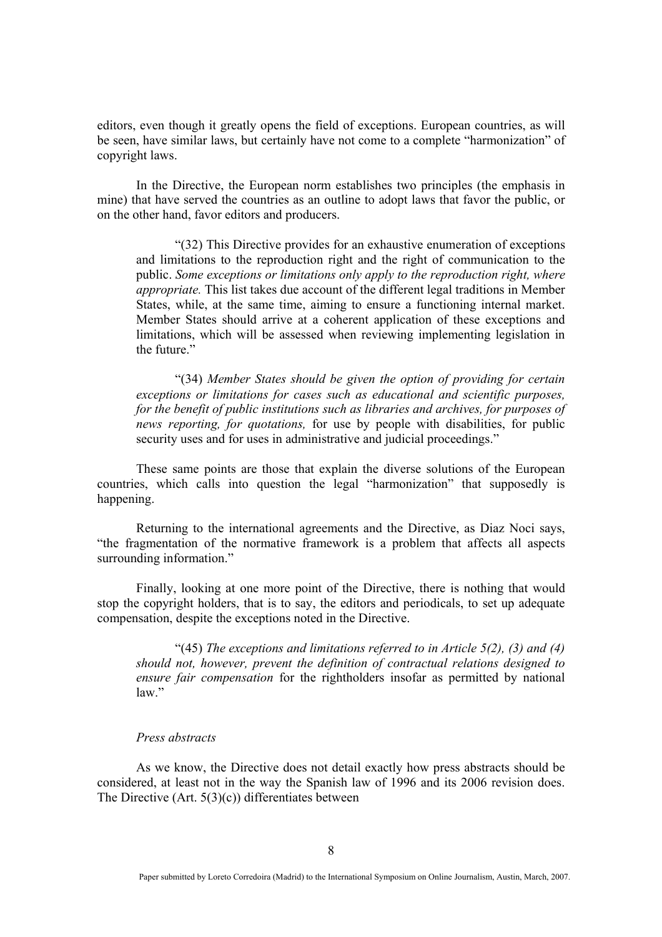editors, even though it greatly opens the field of exceptions. European countries, as will be seen, have similar laws, but certainly have not come to a complete "harmonization" of copyright laws.

In the Directive, the European norm establishes two principles (the emphasis in mine) that have served the countries as an outline to adopt laws that favor the public, or on the other hand, favor editors and producers.

"(32) This Directive provides for an exhaustive enumeration of exceptions and limitations to the reproduction right and the right of communication to the public. *Some exceptions or limitations only apply to the reproduction right, where appropriate.* This list takes due account of the different legal traditions in Member States, while, at the same time, aiming to ensure a functioning internal market. Member States should arrive at a coherent application of these exceptions and limitations, which will be assessed when reviewing implementing legislation in the future."

"(34) *Member States should be given the option of providing for certain exceptions or limitations for cases such as educational and scientific purposes, for the benefit of public institutions such as libraries and archives, for purposes of news reporting, for quotations,* for use by people with disabilities, for public security uses and for uses in administrative and judicial proceedings."

These same points are those that explain the diverse solutions of the European countries, which calls into question the legal "harmonization" that supposedly is happening.

Returning to the international agreements and the Directive, as Diaz Noci says, "the fragmentation of the normative framework is a problem that affects all aspects surrounding information."

Finally, looking at one more point of the Directive, there is nothing that would stop the copyright holders, that is to say, the editors and periodicals, to set up adequate compensation, despite the exceptions noted in the Directive.

"(45) *The exceptions and limitations referred to in Article 5(2), (3) and (4) should not, however, prevent the definition of contractual relations designed to ensure fair compensation* for the rightholders insofar as permitted by national law"

## *Press abstracts*

As we know, the Directive does not detail exactly how press abstracts should be considered, at least not in the way the Spanish law of 1996 and its 2006 revision does. The Directive (Art. 5(3)(c)) differentiates between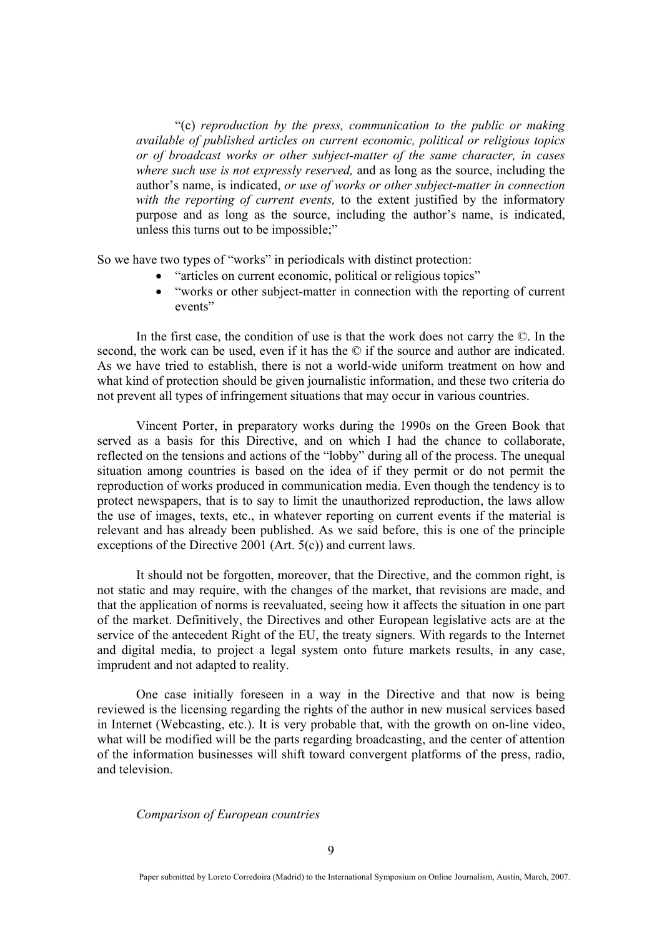"(c) *reproduction by the press, communication to the public or making available of published articles on current economic, political or religious topics or of broadcast works or other subject-matter of the same character, in cases where such use is not expressly reserved,* and as long as the source, including the author's name, is indicated, *or use of works or other subject-matter in connection with the reporting of current events,* to the extent justified by the informatory purpose and as long as the source, including the author's name, is indicated, unless this turns out to be impossible;"

So we have two types of "works" in periodicals with distinct protection:

- "articles on current economic, political or religious topics"
- "works or other subject-matter in connection with the reporting of current events"

In the first case, the condition of use is that the work does not carry the ©. In the second, the work can be used, even if it has the  $\odot$  if the source and author are indicated. As we have tried to establish, there is not a world-wide uniform treatment on how and what kind of protection should be given journalistic information, and these two criteria do not prevent all types of infringement situations that may occur in various countries.

Vincent Porter, in preparatory works during the 1990s on the Green Book that served as a basis for this Directive, and on which I had the chance to collaborate, reflected on the tensions and actions of the "lobby" during all of the process. The unequal situation among countries is based on the idea of if they permit or do not permit the reproduction of works produced in communication media. Even though the tendency is to protect newspapers, that is to say to limit the unauthorized reproduction, the laws allow the use of images, texts, etc., in whatever reporting on current events if the material is relevant and has already been published. As we said before, this is one of the principle exceptions of the Directive 2001 (Art. 5(c)) and current laws.

It should not be forgotten, moreover, that the Directive, and the common right, is not static and may require, with the changes of the market, that revisions are made, and that the application of norms is reevaluated, seeing how it affects the situation in one part of the market. Definitively, the Directives and other European legislative acts are at the service of the antecedent Right of the EU, the treaty signers. With regards to the Internet and digital media, to project a legal system onto future markets results, in any case, imprudent and not adapted to reality.

One case initially foreseen in a way in the Directive and that now is being reviewed is the licensing regarding the rights of the author in new musical services based in Internet (Webcasting, etc.). It is very probable that, with the growth on on-line video, what will be modified will be the parts regarding broadcasting, and the center of attention of the information businesses will shift toward convergent platforms of the press, radio, and television.

*Comparison of European countries*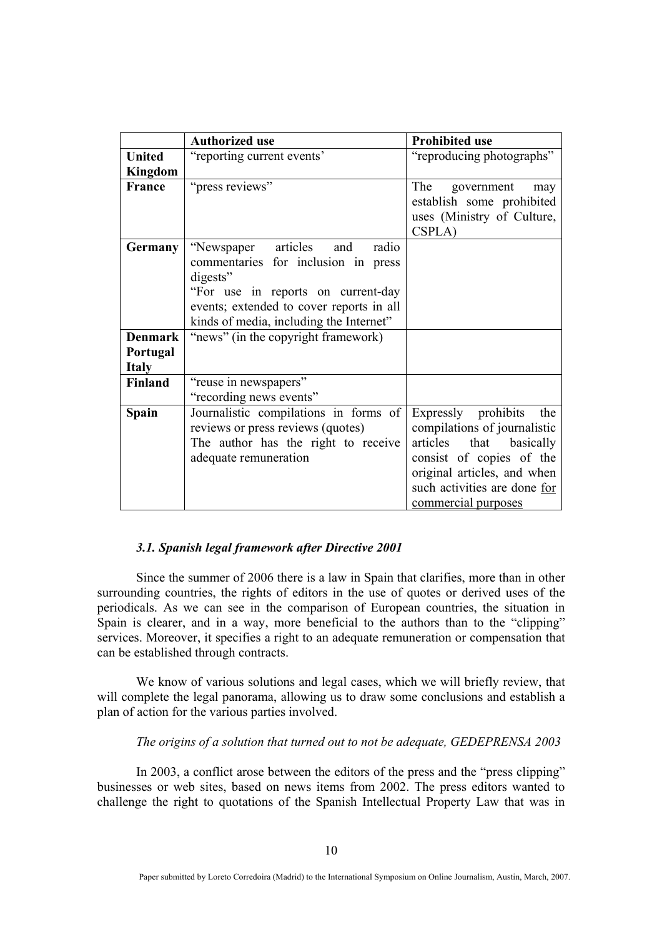|                                            | <b>Authorized use</b>                                                                                                                                                                                             | <b>Prohibited use</b>                                                                                                                                                                                      |
|--------------------------------------------|-------------------------------------------------------------------------------------------------------------------------------------------------------------------------------------------------------------------|------------------------------------------------------------------------------------------------------------------------------------------------------------------------------------------------------------|
| <b>United</b>                              | "reporting current events"                                                                                                                                                                                        | "reproducing photographs"                                                                                                                                                                                  |
| Kingdom                                    |                                                                                                                                                                                                                   |                                                                                                                                                                                                            |
| France                                     | "press reviews"                                                                                                                                                                                                   | The<br>government<br>may<br>establish some prohibited<br>uses (Ministry of Culture,<br>CSPLA)                                                                                                              |
| <b>Germany</b>                             | "Newspaper articles and<br>radio<br>commentaries for inclusion in press<br>digests"<br>"For use in reports on current-day"<br>events; extended to cover reports in all<br>kinds of media, including the Internet" |                                                                                                                                                                                                            |
| <b>Denmark</b><br>Portugal<br><b>Italy</b> | "news" (in the copyright framework)                                                                                                                                                                               |                                                                                                                                                                                                            |
| <b>Finland</b>                             | "reuse in newspapers"<br>"recording news events"                                                                                                                                                                  |                                                                                                                                                                                                            |
| <b>Spain</b>                               | Journalistic compilations in forms of<br>reviews or press reviews (quotes)<br>The author has the right to receive<br>adequate remuneration                                                                        | Expressly prohibits<br>the<br>compilations of journalistic<br>articles<br>that basically<br>consist of copies of the<br>original articles, and when<br>such activities are done for<br>commercial purposes |

# *3.1. Spanish legal framework after Directive 2001*

Since the summer of 2006 there is a law in Spain that clarifies, more than in other surrounding countries, the rights of editors in the use of quotes or derived uses of the periodicals. As we can see in the comparison of European countries, the situation in Spain is clearer, and in a way, more beneficial to the authors than to the "clipping" services. Moreover, it specifies a right to an adequate remuneration or compensation that can be established through contracts.

We know of various solutions and legal cases, which we will briefly review, that will complete the legal panorama, allowing us to draw some conclusions and establish a plan of action for the various parties involved.

### *The origins of a solution that turned out to not be adequate, GEDEPRENSA 2003*

In 2003, a conflict arose between the editors of the press and the "press clipping" businesses or web sites, based on news items from 2002. The press editors wanted to challenge the right to quotations of the Spanish Intellectual Property Law that was in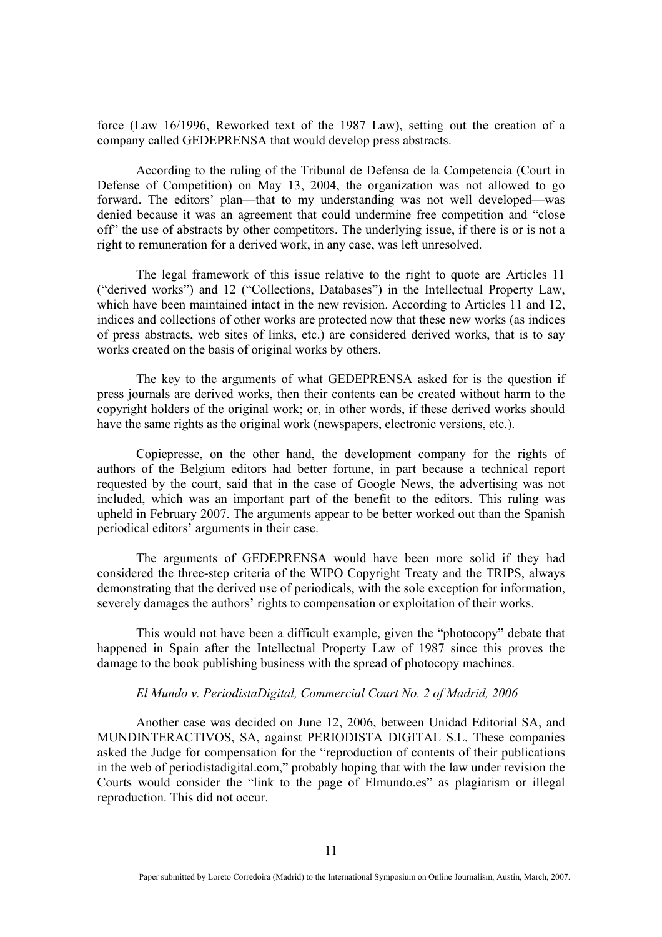force (Law 16/1996, Reworked text of the 1987 Law), setting out the creation of a company called GEDEPRENSA that would develop press abstracts.

According to the ruling of the Tribunal de Defensa de la Competencia (Court in Defense of Competition) on May 13, 2004, the organization was not allowed to go forward. The editors' plan—that to my understanding was not well developed—was denied because it was an agreement that could undermine free competition and "close off" the use of abstracts by other competitors. The underlying issue, if there is or is not a right to remuneration for a derived work, in any case, was left unresolved.

The legal framework of this issue relative to the right to quote are Articles 11 ("derived works") and 12 ("Collections, Databases") in the Intellectual Property Law, which have been maintained intact in the new revision. According to Articles 11 and 12, indices and collections of other works are protected now that these new works (as indices of press abstracts, web sites of links, etc.) are considered derived works, that is to say works created on the basis of original works by others.

The key to the arguments of what GEDEPRENSA asked for is the question if press journals are derived works, then their contents can be created without harm to the copyright holders of the original work; or, in other words, if these derived works should have the same rights as the original work (newspapers, electronic versions, etc.).

Copiepresse, on the other hand, the development company for the rights of authors of the Belgium editors had better fortune, in part because a technical report requested by the court, said that in the case of Google News, the advertising was not included, which was an important part of the benefit to the editors. This ruling was upheld in February 2007. The arguments appear to be better worked out than the Spanish periodical editors' arguments in their case.

The arguments of GEDEPRENSA would have been more solid if they had considered the three-step criteria of the WIPO Copyright Treaty and the TRIPS, always demonstrating that the derived use of periodicals, with the sole exception for information, severely damages the authors' rights to compensation or exploitation of their works.

This would not have been a difficult example, given the "photocopy" debate that happened in Spain after the Intellectual Property Law of 1987 since this proves the damage to the book publishing business with the spread of photocopy machines.

# *El Mundo v. PeriodistaDigital, Commercial Court No. 2 of Madrid, 2006*

Another case was decided on June 12, 2006, between Unidad Editorial SA, and MUNDINTERACTIVOS, SA, against PERIODISTA DIGITAL S.L. These companies asked the Judge for compensation for the "reproduction of contents of their publications in the web of periodistadigital.com," probably hoping that with the law under revision the Courts would consider the "link to the page of Elmundo.es" as plagiarism or illegal reproduction. This did not occur.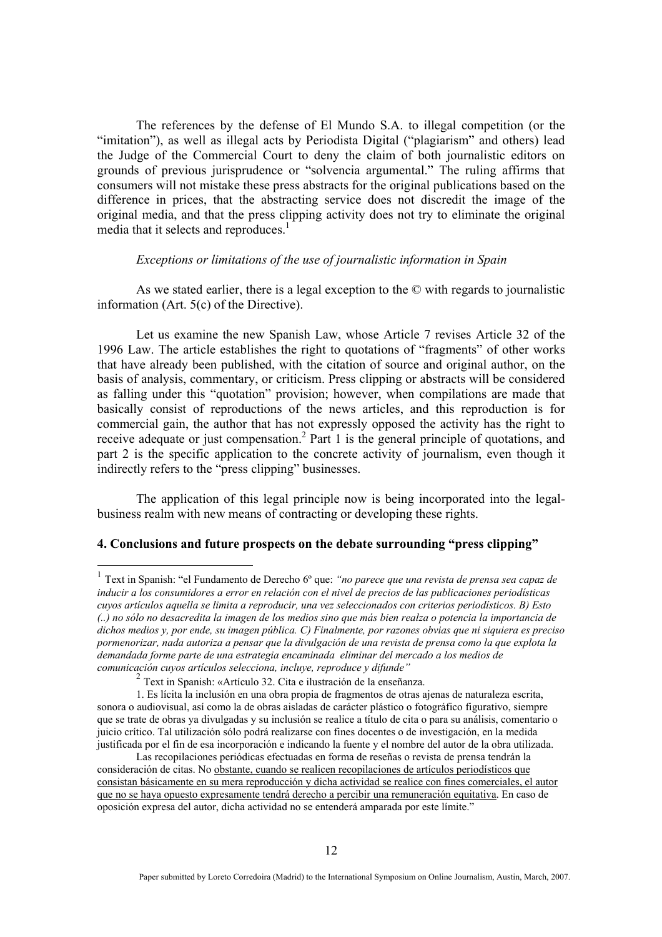The references by the defense of El Mundo S.A. to illegal competition (or the "imitation"), as well as illegal acts by Periodista Digital ("plagiarism" and others) lead the Judge of the Commercial Court to deny the claim of both journalistic editors on grounds of previous jurisprudence or "solvencia argumental." The ruling affirms that consumers will not mistake these press abstracts for the original publications based on the difference in prices, that the abstracting service does not discredit the image of the original media, and that the press clipping activity does not try to eliminate the original media that it selects and reproduces.<sup>1</sup>

### *Exceptions or limitations of the use of journalistic information in Spain*

As we stated earlier, there is a legal exception to the © with regards to journalistic information (Art. 5(c) of the Directive).

Let us examine the new Spanish Law, whose Article 7 revises Article 32 of the 1996 Law. The article establishes the right to quotations of "fragments" of other works that have already been published, with the citation of source and original author, on the basis of analysis, commentary, or criticism. Press clipping or abstracts will be considered as falling under this "quotation" provision; however, when compilations are made that basically consist of reproductions of the news articles, and this reproduction is for commercial gain, the author that has not expressly opposed the activity has the right to receive adequate or just compensation.<sup>2</sup> Part 1 is the general principle of quotations, and part 2 is the specific application to the concrete activity of journalism, even though it indirectly refers to the "press clipping" businesses.

The application of this legal principle now is being incorporated into the legalbusiness realm with new means of contracting or developing these rights.

## **4. Conclusions and future prospects on the debate surrounding "press clipping"**

<sup>1</sup> Text in Spanish: "el Fundamento de Derecho 6º que: *"no parece que una revista de prensa sea capaz de inducir a los consumidores a error en relación con el nivel de precios de las publicaciones periodísticas cuyos artículos aquella se limita a reproducir, una vez seleccionados con criterios periodísticos. B) Esto (..) no sólo no desacredita la imagen de los medios sino que más bien realza o potencia la importancia de dichos medios y, por ende, su imagen pública. C) Finalmente, por razones obvias que ni siquiera es preciso pormenorizar, nada autoriza a pensar que la divulgación de una revista de prensa como la que explota la demandada forme parte de una estrategia encaminada eliminar del mercado a los medios de comunicación cuyos artículos selecciona, incluye, reproduce y difunde"*

<sup>2</sup> Text in Spanish: «Artículo 32. Cita e ilustración de la enseñanza.

<sup>1.</sup> Es lícita la inclusión en una obra propia de fragmentos de otras ajenas de naturaleza escrita, sonora o audiovisual, así como la de obras aisladas de carácter plástico o fotográfico figurativo, siempre que se trate de obras ya divulgadas y su inclusión se realice a título de cita o para su análisis, comentario o juicio crítico. Tal utilización sólo podrá realizarse con fines docentes o de investigación, en la medida justificada por el fin de esa incorporación e indicando la fuente y el nombre del autor de la obra utilizada.

Las recopilaciones periódicas efectuadas en forma de reseñas o revista de prensa tendrán la consideración de citas. No obstante, cuando se realicen recopilaciones de artículos periodísticos que consistan básicamente en su mera reproducción y dicha actividad se realice con fines comerciales, el autor que no se haya opuesto expresamente tendrá derecho a percibir una remuneración equitativa. En caso de oposición expresa del autor, dicha actividad no se entenderá amparada por este límite."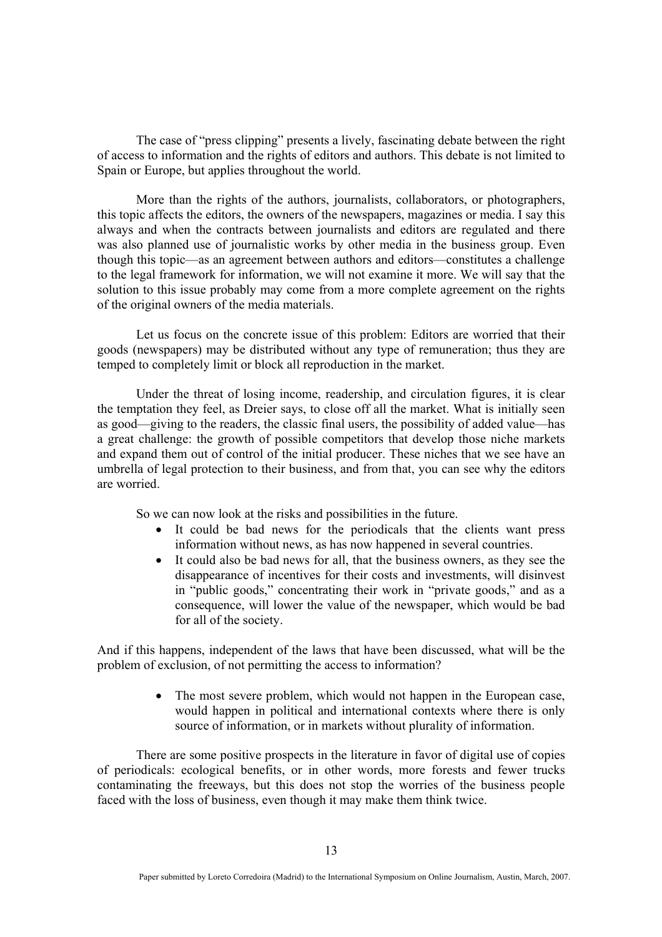The case of "press clipping" presents a lively, fascinating debate between the right of access to information and the rights of editors and authors. This debate is not limited to Spain or Europe, but applies throughout the world.

More than the rights of the authors, journalists, collaborators, or photographers, this topic affects the editors, the owners of the newspapers, magazines or media. I say this always and when the contracts between journalists and editors are regulated and there was also planned use of journalistic works by other media in the business group. Even though this topic—as an agreement between authors and editors—constitutes a challenge to the legal framework for information, we will not examine it more. We will say that the solution to this issue probably may come from a more complete agreement on the rights of the original owners of the media materials.

Let us focus on the concrete issue of this problem: Editors are worried that their goods (newspapers) may be distributed without any type of remuneration; thus they are temped to completely limit or block all reproduction in the market.

Under the threat of losing income, readership, and circulation figures, it is clear the temptation they feel, as Dreier says, to close off all the market. What is initially seen as good—giving to the readers, the classic final users, the possibility of added value—has a great challenge: the growth of possible competitors that develop those niche markets and expand them out of control of the initial producer. These niches that we see have an umbrella of legal protection to their business, and from that, you can see why the editors are worried.

So we can now look at the risks and possibilities in the future.

- It could be bad news for the periodicals that the clients want press information without news, as has now happened in several countries.
- It could also be bad news for all, that the business owners, as they see the disappearance of incentives for their costs and investments, will disinvest in "public goods," concentrating their work in "private goods," and as a consequence, will lower the value of the newspaper, which would be bad for all of the society.

And if this happens, independent of the laws that have been discussed, what will be the problem of exclusion, of not permitting the access to information?

> The most severe problem, which would not happen in the European case, would happen in political and international contexts where there is only source of information, or in markets without plurality of information.

There are some positive prospects in the literature in favor of digital use of copies of periodicals: ecological benefits, or in other words, more forests and fewer trucks contaminating the freeways, but this does not stop the worries of the business people faced with the loss of business, even though it may make them think twice.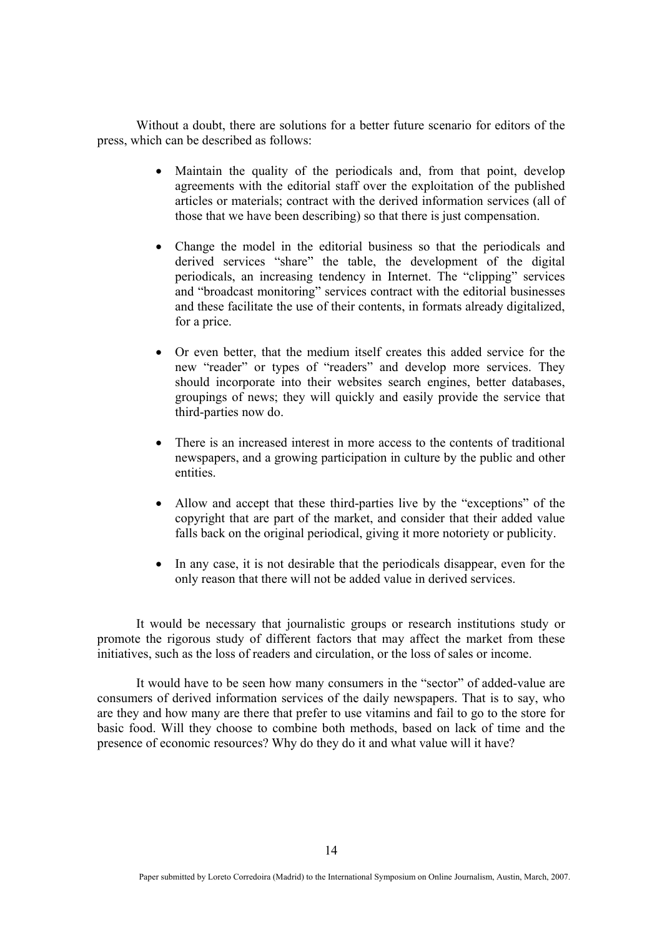Without a doubt, there are solutions for a better future scenario for editors of the press, which can be described as follows:

- Maintain the quality of the periodicals and, from that point, develop agreements with the editorial staff over the exploitation of the published articles or materials; contract with the derived information services (all of those that we have been describing) so that there is just compensation.
- Change the model in the editorial business so that the periodicals and derived services "share" the table, the development of the digital periodicals, an increasing tendency in Internet. The "clipping" services and "broadcast monitoring" services contract with the editorial businesses and these facilitate the use of their contents, in formats already digitalized, for a price.
- Or even better, that the medium itself creates this added service for the new "reader" or types of "readers" and develop more services. They should incorporate into their websites search engines, better databases, groupings of news; they will quickly and easily provide the service that third-parties now do.
- There is an increased interest in more access to the contents of traditional newspapers, and a growing participation in culture by the public and other entities.
- Allow and accept that these third-parties live by the "exceptions" of the copyright that are part of the market, and consider that their added value falls back on the original periodical, giving it more notoriety or publicity.
- In any case, it is not desirable that the periodicals disappear, even for the only reason that there will not be added value in derived services.

It would be necessary that journalistic groups or research institutions study or promote the rigorous study of different factors that may affect the market from these initiatives, such as the loss of readers and circulation, or the loss of sales or income.

It would have to be seen how many consumers in the "sector" of added-value are consumers of derived information services of the daily newspapers. That is to say, who are they and how many are there that prefer to use vitamins and fail to go to the store for basic food. Will they choose to combine both methods, based on lack of time and the presence of economic resources? Why do they do it and what value will it have?